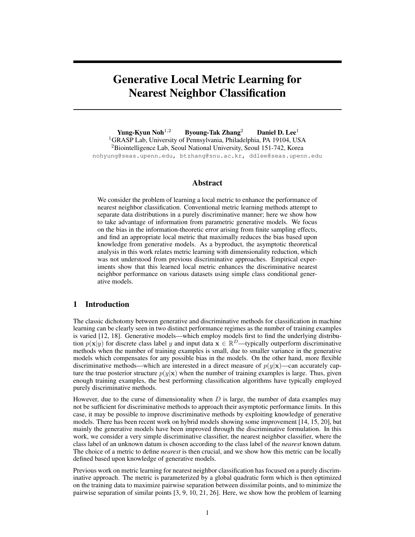# Generative Local Metric Learning for Nearest Neighbor Classification

Yung-Kyun Noh<sup>1,2</sup> Byoung-Tak Zhang<sup>2</sup> Daniel D. Lee<sup>1</sup> <sup>1</sup>GRASP Lab, University of Pennsylvania, Philadelphia, PA 19104, USA <sup>2</sup>Biointelligence Lab, Seoul National University, Seoul 151-742, Korea nohyung@seas.upenn.edu, btzhang@snu.ac.kr, ddlee@seas.upenn.edu

# Abstract

We consider the problem of learning a local metric to enhance the performance of nearest neighbor classification. Conventional metric learning methods attempt to separate data distributions in a purely discriminative manner; here we show how to take advantage of information from parametric generative models. We focus on the bias in the information-theoretic error arising from finite sampling effects, and find an appropriate local metric that maximally reduces the bias based upon knowledge from generative models. As a byproduct, the asymptotic theoretical analysis in this work relates metric learning with dimensionality reduction, which was not understood from previous discriminative approaches. Empirical experiments show that this learned local metric enhances the discriminative nearest neighbor performance on various datasets using simple class conditional generative models.

# 1 Introduction

The classic dichotomy between generative and discriminative methods for classification in machine learning can be clearly seen in two distinct performance regimes as the number of training examples is varied [12, 18]. Generative models—which employ models first to find the underlying distribution  $p(\mathbf{x}|y)$  for discrete class label y and input data  $\mathbf{x} \in \mathbb{R}^D$ —typically outperform discriminative methods when the number of training examples is small, due to smaller variance in the generative models which compensates for any possible bias in the models. On the other hand, more flexible discriminative methods—which are interested in a direct measure of  $p(y|\mathbf{x})$ —can accurately capture the true posterior structure  $p(y|\mathbf{x})$  when the number of training examples is large. Thus, given enough training examples, the best performing classification algorithms have typically employed purely discriminative methods.

However, due to the curse of dimensionality when  $D$  is large, the number of data examples may not be sufficient for discriminative methods to approach their asymptotic performance limits. In this case, it may be possible to improve discriminative methods by exploiting knowledge of generative models. There has been recent work on hybrid models showing some improvement [14, 15, 20], but mainly the generative models have been improved through the discriminative formulation. In this work, we consider a very simple discriminative classifier, the nearest neighbor classifier, where the class label of an unknown datum is chosen according to the class label of the *nearest* known datum. The choice of a metric to define *nearest* is then crucial, and we show how this metric can be locally defined based upon knowledge of generative models.

Previous work on metric learning for nearest neighbor classification has focused on a purely discriminative approach. The metric is parameterized by a global quadratic form which is then optimized on the training data to maximize pairwise separation between dissimilar points, and to minimize the pairwise separation of similar points [3, 9, 10, 21, 26]. Here, we show how the problem of learning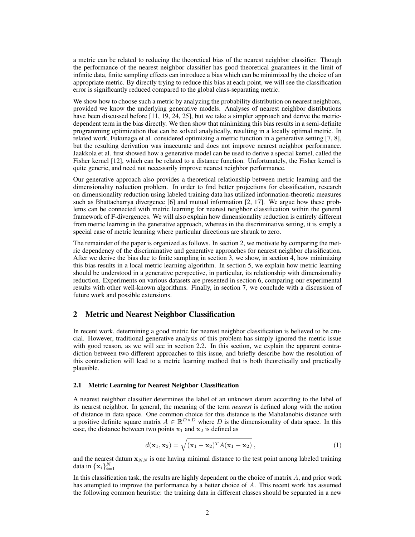a metric can be related to reducing the theoretical bias of the nearest neighbor classifier. Though the performance of the nearest neighbor classifier has good theoretical guarantees in the limit of infinite data, finite sampling effects can introduce a bias which can be minimized by the choice of an appropriate metric. By directly trying to reduce this bias at each point, we will see the classification error is significantly reduced compared to the global class-separating metric.

We show how to choose such a metric by analyzing the probability distribution on nearest neighbors, provided we know the underlying generative models. Analyses of nearest neighbor distributions have been discussed before [11, 19, 24, 25], but we take a simpler approach and derive the metricdependent term in the bias directly. We then show that minimizing this bias results in a semi-definite programming optimization that can be solved analytically, resulting in a locally optimal metric. In related work, Fukunaga et al. considered optimizing a metric function in a generative setting [7, 8], but the resulting derivation was inaccurate and does not improve nearest neighbor performance. Jaakkola et al. first showed how a generative model can be used to derive a special kernel, called the Fisher kernel [12], which can be related to a distance function. Unfortunately, the Fisher kernel is quite generic, and need not necessarily improve nearest neighbor performance.

Our generative approach also provides a theoretical relationship between metric learning and the dimensionality reduction problem. In order to find better projections for classification, research on dimensionality reduction using labeled training data has utilized information-theoretic measures such as Bhattacharrya divergence [6] and mutual information [2, 17]. We argue how these problems can be connected with metric learning for nearest neighbor classification within the general framework of F-divergences. We will also explain how dimensionality reduction is entirely different from metric learning in the generative approach, whereas in the discriminative setting, it is simply a special case of metric learning where particular directions are shrunk to zero.

The remainder of the paper is organized as follows. In section 2, we motivate by comparing the metric dependency of the discriminative and generative approaches for nearest neighbor classification. After we derive the bias due to finite sampling in section 3, we show, in section 4, how minimizing this bias results in a local metric learning algorithm. In section 5, we explain how metric learning should be understood in a generative perspective, in particular, its relationship with dimensionality reduction. Experiments on various datasets are presented in section 6, comparing our experimental results with other well-known algorithms. Finally, in section 7, we conclude with a discussion of future work and possible extensions.

# 2 Metric and Nearest Neighbor Classification

In recent work, determining a good metric for nearest neighbor classification is believed to be crucial. However, traditional generative analysis of this problem has simply ignored the metric issue with good reason, as we will see in section 2.2. In this section, we explain the apparent contradiction between two different approaches to this issue, and briefly describe how the resolution of this contradiction will lead to a metric learning method that is both theoretically and practically plausible.

#### 2.1 Metric Learning for Nearest Neighbor Classification

A nearest neighbor classifier determines the label of an unknown datum according to the label of its nearest neighbor. In general, the meaning of the term *nearest* is defined along with the notion of distance in data space. One common choice for this distance is the Mahalanobis distance with a positive definite square matrix  $A \in \mathbb{R}^{D \times D}$  where D is the dimensionality of data space. In this case, the distance between two points  $x_1$  and  $x_2$  is defined as

$$
d(\mathbf{x}_1, \mathbf{x}_2) = \sqrt{(\mathbf{x}_1 - \mathbf{x}_2)^T A (\mathbf{x}_1 - \mathbf{x}_2)},
$$
\n(1)

and the nearest datum  $x_{NN}$  is one having minimal distance to the test point among labeled training data in  $\{\mathbf x_i\}_{i=1}^N$ 

In this classification task, the results are highly dependent on the choice of matrix A, and prior work has attempted to improve the performance by a better choice of A. This recent work has assumed the following common heuristic: the training data in different classes should be separated in a new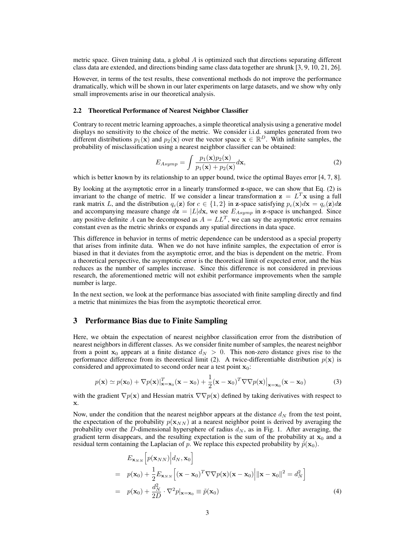metric space. Given training data, a global  $A$  is optimized such that directions separating different class data are extended, and directions binding same class data together are shrunk [3, 9, 10, 21, 26].

However, in terms of the test results, these conventional methods do not improve the performance dramatically, which will be shown in our later experiments on large datasets, and we show why only small improvements arise in our theoretical analysis.

#### 2.2 Theoretical Performance of Nearest Neighbor Classifier

Contrary to recent metric learning approaches, a simple theoretical analysis using a generative model displays no sensitivity to the choice of the metric. We consider i.i.d. samples generated from two different distributions  $p_1(\mathbf{x})$  and  $p_2(\mathbf{x})$  over the vector space  $\mathbf{x} \in \mathbb{R}^D$ . With infinite samples, the probability of misclassification using a nearest neighbor classifier can be obtained:

$$
E_{Asymp} = \int \frac{p_1(\mathbf{x})p_2(\mathbf{x})}{p_1(\mathbf{x}) + p_2(\mathbf{x})} d\mathbf{x},\tag{2}
$$

which is better known by its relationship to an upper bound, twice the optimal Bayes error [4, 7, 8].

By looking at the asymptotic error in a linearly transformed z-space, we can show that Eq. (2) is invariant to the change of metric. If we consider a linear transformation  $z = L<sup>T</sup>x$  using a full rank matrix L, and the distribution  $q_c(\mathbf{z})$  for  $c \in \{1,2\}$  in z-space satisfying  $p_c(\mathbf{x})d\mathbf{x} = q_c(\mathbf{z})d\mathbf{z}$ and accompanying measure change  $d\mathbf{z} = |L|d\mathbf{x}$ , we see  $E_{Asymp}$  in z-space is unchanged. Since any positive definite A can be decomposed as  $A = LL^T$ , we can say the asymptotic error remains constant even as the metric shrinks or expands any spatial directions in data space.

This difference in behavior in terms of metric dependence can be understood as a special property that arises from infinite data. When we do not have infinite samples, the expectation of error is biased in that it deviates from the asymptotic error, and the bias is dependent on the metric. From a theoretical perspective, the asymptotic error is the theoretical limit of expected error, and the bias reduces as the number of samples increase. Since this difference is not considered in previous research, the aforementioned metric will not exhibit performance improvements when the sample number is large.

In the next section, we look at the performance bias associated with finite sampling directly and find a metric that minimizes the bias from the asymptotic theoretical error.

# 3 Performance Bias due to Finite Sampling

Here, we obtain the expectation of nearest neighbor classification error from the distribution of nearest neighbors in different classes. As we consider finite number of samples, the nearest neighbor from a point  $x_0$  appears at a finite distance  $d_N > 0$ . This non-zero distance gives rise to the performance difference from its theoretical limit (2). A twice-differentiable distribution  $p(x)$  is considered and approximated to second order near a test point  $x_0$ :

$$
p(\mathbf{x}) \simeq p(\mathbf{x}_0) + \nabla p(\mathbf{x})|_{\mathbf{x} = \mathbf{x}_0}^T (\mathbf{x} - \mathbf{x}_0) + \frac{1}{2} (\mathbf{x} - \mathbf{x}_0)^T \nabla \nabla p(\mathbf{x})|_{\mathbf{x} = \mathbf{x}_0} (\mathbf{x} - \mathbf{x}_0)
$$
(3)

with the gradient  $\nabla p(\mathbf{x})$  and Hessian matrix  $\nabla \nabla p(\mathbf{x})$  defined by taking derivatives with respect to x.

Now, under the condition that the nearest neighbor appears at the distance  $d_N$  from the test point, the expectation of the probability  $p(\mathbf{x}_{NN})$  at a nearest neighbor point is derived by averaging the probability over the D-dimensional hypersphere of radius  $d_N$ , as in Fig. 1. After averaging, the gradient term disappears, and the resulting expectation is the sum of the probability at  $x_0$  and a residual term containing the Laplacian of p. We replace this expected probability by  $\tilde{p}(\mathbf{x}_0)$ .

$$
E_{\mathbf{x}_{NN}}\left[p(\mathbf{x}_{NN})|d_N, \mathbf{x}_0\right]
$$
  
=  $p(\mathbf{x}_0) + \frac{1}{2}E_{\mathbf{x}_{NN}}\left[(\mathbf{x} - \mathbf{x}_0)^T \nabla \nabla p(\mathbf{x})(\mathbf{x} - \mathbf{x}_0)\middle| \|\mathbf{x} - \mathbf{x}_0\|^2 = d_N^2\right]$   
=  $p(\mathbf{x}_0) + \frac{d_N^2}{2D} \cdot \nabla^2 p|_{\mathbf{x} = \mathbf{x}_0} \equiv \tilde{p}(\mathbf{x}_0)$  (4)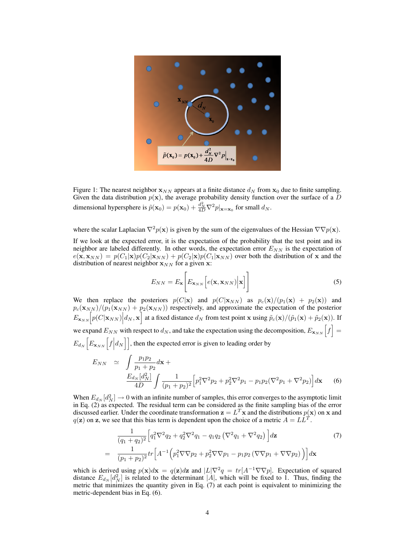

Figure 1: The nearest neighbor  $x_{NN}$  appears at a finite distance  $d_N$  from  $x_0$  due to finite sampling. Given the data distribution  $p(x)$ , the average probability density function over the surface of a  $\overline{D}$ dimensional hypersphere is  $\tilde{p}(\mathbf{x}_0) = p(\mathbf{x}_0) + \frac{d_N^2}{4D} \nabla^2 p|_{\mathbf{x} = \mathbf{x}_0}$  for small  $d_N$ .

where the scalar Laplacian  $\nabla^2 p(\mathbf{x})$  is given by the sum of the eigenvalues of the Hessian  $\nabla \nabla p(\mathbf{x})$ .

If we look at the expected error, it is the expectation of the probability that the test point and its neighbor are labeled differently. In other words, the expectation error  $E_{NN}$  is the expectation of  $e(\mathbf{x}, \mathbf{x}_{NN}) = p(C_1|\mathbf{x})p(C_2|\mathbf{x}_{NN}) + p(C_2|\mathbf{x})p(C_1|\mathbf{x}_{NN})$  over both the distribution of x and the distribution of nearest neighbor  $x_{NN}$  for a given x:

$$
E_{NN} = E_{\mathbf{x}} \left[ E_{\mathbf{x}_{NN}} \left[ e(\mathbf{x}, \mathbf{x}_{NN}) \Big| \mathbf{x} \right] \right]
$$
 (5)

We then replace the posteriors  $p(C|\mathbf{x})$  and  $p(C|\mathbf{x}_{NN})$  as  $p_c(\mathbf{x})/(p_1(\mathbf{x}) + p_2(\mathbf{x}))$  and  $p_c(\mathbf{x}_{NN})/(p_1(\mathbf{x}_{NN}) + p_2(\mathbf{x}_{NN}))$  respectively, and approximate the expectation of the posterior  $E_{\mathbf{x}_{NN}}\left[p(C|\mathbf{x}_{NN})\Big|d_N,\mathbf{x}\right]$  at a fixed distance  $d_N$  from test point x using  $\tilde{p}_c(\mathbf{x})/(\tilde{p}_1(\mathbf{x})+\tilde{p}_2(\mathbf{x}))$ . If we expand  $E_{NN}$  with respect to  $d_N$ , and take the expectation using the decomposition,  $E_{\mathbf{x}_{NN}}[f] =$  $E_{d_N}\left[E_{\mathbf{x}_{NN}}\left[f\Big|d_N\right]\right]$ , then the expected error is given to leading order by

$$
E_{NN} \simeq \int \frac{p_1 p_2}{p_1 + p_2} d\mathbf{x} +
$$
  
\n
$$
\frac{E_{d_N}[d_N^2]}{4D} \int \frac{1}{(p_1 + p_2)^2} \left[ p_1^2 \nabla^2 p_2 + p_2^2 \nabla^2 p_1 - p_1 p_2 (\nabla^2 p_1 + \nabla^2 p_2) \right] d\mathbf{x}
$$
 (6)

When  $E_{d_N}[d_N^2] \to 0$  with an infinite number of samples, this error converges to the asymptotic limit in Eq. (2) as expected. The residual term can be considered as the finite sampling bias of the error discussed earlier. Under the coordinate transformation  $z = L<sup>T</sup>x$  and the distributions  $p(x)$  on x and  $q(\mathbf{z})$  on  $\mathbf{z}$ , we see that this bias term is dependent upon the choice of a metric  $A = LL^T$ .

$$
\frac{1}{(q_1+q_2)^2} \Big[ q_1^2 \nabla^2 q_2 + q_2^2 \nabla^2 q_1 - q_1 q_2 \left( \nabla^2 q_1 + \nabla^2 q_2 \right) \Big] d\mathbf{z} \tag{7}
$$
\n
$$
= \frac{1}{(p_1+p_2)^2} tr \Big[ A^{-1} \Big( p_1^2 \nabla \nabla p_2 + p_2^2 \nabla \nabla p_1 - p_1 p_2 \left( \nabla \nabla p_1 + \nabla \nabla p_2 \right) \Big) \Big] d\mathbf{x}
$$

which is derived using  $p(\mathbf{x})d\mathbf{x} = q(\mathbf{z})d\mathbf{z}$  and  $|L|\nabla^2 q = tr[A^{-1}\nabla\nabla p]$ . Expectation of squared distance  $E_{d_N}[d_N^2]$  is related to the determinant |A|, which will be fixed to 1. Thus, finding the metric that minimizes the quantity given in Eq. (7) at each point is equivalent to minimizing the metric-dependent bias in Eq. (6).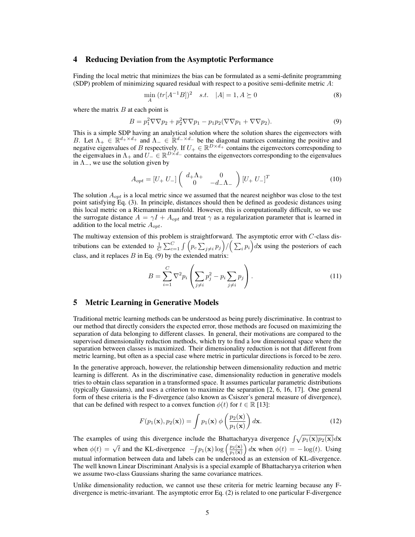# 4 Reducing Deviation from the Asymptotic Performance

Finding the local metric that minimizes the bias can be formulated as a semi-definite programming (SDP) problem of minimizing squared residual with respect to a positive semi-definite metric  $A$ :

$$
\min_{A} (tr[A^{-1}B])^{2} \quad s.t. \quad |A| = 1, A \succeq 0 \tag{8}
$$

where the matrix  $B$  at each point is

$$
B = p_1^2 \nabla \nabla p_2 + p_2^2 \nabla \nabla p_1 - p_1 p_2 (\nabla \nabla p_1 + \nabla \nabla p_2). \tag{9}
$$

This is a simple SDP having an analytical solution where the solution shares the eigenvectors with B. Let  $\Lambda_+ \in \mathbb{R}^{d_+ \times d_+}$  and  $\Lambda_- \in \mathbb{R}^{d_- \times d_-}$  be the diagonal matrices containing the positive and negative eigenvalues of B respectively. If  $U_+ \in \mathbb{R}^{D \times d_+}$  contains the eigenvectors corresponding to the eigenvalues in  $\Lambda_+$  and  $U_-\in\mathbb{R}^{D\times d_-}$  contains the eigenvectors corresponding to the eigenvalues in  $\Lambda_-,$  we use the solution given by

$$
A_{opt} = [U_+ U_-] \begin{pmatrix} d_+ \Lambda_+ & 0 \\ 0 & -d_- \Lambda_- \end{pmatrix} [U_+ U_-]^T
$$
 (10)

The solution  $A_{opt}$  is a local metric since we assumed that the nearest neighbor was close to the test point satisfying Eq. (3). In principle, distances should then be defined as geodesic distances using this local metric on a Riemannian manifold. However, this is computationally difficult, so we use the surrogate distance  $A = \gamma I + A_{\text{out}}$  and treat  $\gamma$  as a regularization parameter that is learned in addition to the local metric  $A_{\text{opt}}$ .

The multiway extension of this problem is straightforward. The asymptotic error with  $C$ -class distributions can be extended to  $\frac{1}{C}\sum_{c=1}^C \int \left(p_c \sum_{j\neq i} p_j\right) / \left(\sum_i p_i\right) d\mathbf{x}$  using the posteriors of each class, and it replaces  $B$  in Eq. (9) by the extended matrix:

$$
B = \sum_{i=1}^{C} \nabla^2 p_i \left( \sum_{j \neq i} p_j^2 - p_i \sum_{j \neq i} p_j \right).
$$
 (11)

## 5 Metric Learning in Generative Models

Traditional metric learning methods can be understood as being purely discriminative. In contrast to our method that directly considers the expected error, those methods are focused on maximizing the separation of data belonging to different classes. In general, their motivations are compared to the supervised dimensionality reduction methods, which try to find a low dimensional space where the separation between classes is maximized. Their dimensionality reduction is not that different from metric learning, but often as a special case where metric in particular directions is forced to be zero.

In the generative approach, however, the relationship between dimensionality reduction and metric learning is different. As in the discriminative case, dimensionality reduction in generative models tries to obtain class separation in a transformed space. It assumes particular parametric distributions (typically Gaussians), and uses a criterion to maximize the separation [2, 6, 16, 17]. One general form of these criteria is the F-divergence (also known as Csiszer's general measure of divergence), that can be defined with respect to a convex function  $\phi(t)$  for  $t \in \mathbb{R}$  [13]:

$$
F(p_1(\mathbf{x}), p_2(\mathbf{x})) = \int p_1(\mathbf{x}) \phi\left(\frac{p_2(\mathbf{x})}{p_1(\mathbf{x})}\right) d\mathbf{x}.
$$
 (12)

The examples of using this divergence include the Bhattacharyya divergence  $\int \sqrt{p_1(\mathbf{x})p_2(\mathbf{x})}d\mathbf{x}$ when  $\phi(t) = \sqrt{t}$  and the KL-divergence  $-f p_1(\mathbf{x}) \log \left( \frac{p_2(\mathbf{x})}{p_1(\mathbf{x})} \right)$  $\frac{p_2(\mathbf{x})}{p_1(\mathbf{x})} dx$  when  $\phi(t) = -\log(t)$ . Using mutual information between data and labels can be understood as an extension of KL-divergence. The well known Linear Discriminant Analysis is a special example of Bhattacharyya criterion when we assume two-class Gaussians sharing the same covariance matrices.

Unlike dimensionality reduction, we cannot use these criteria for metric learning because any Fdivergence is metric-invariant. The asymptotic error Eq. (2) is related to one particular F-divergence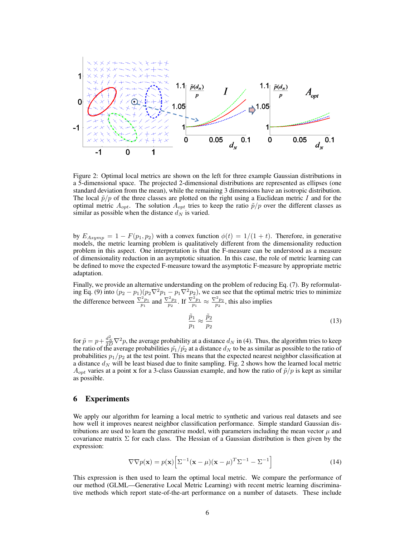

Figure 2: Optimal local metrics are shown on the left for three example Gaussian distributions in a 5-dimensional space. The projected 2-dimensional distributions are represented as ellipses (one standard deviation from the mean), while the remaining 3 dimensions have an isotropic distribution. The local  $\tilde{p}/p$  of the three classes are plotted on the right using a Euclidean metric I and for the optimal metric  $A_{opt}$ . The solution  $A_{opt}$  tries to keep the ratio  $\tilde{p}/p$  over the different classes as similar as possible when the distance  $d_N$  is varied.

by  $E_{Asump} = 1 - F(p_1, p_2)$  with a convex function  $\phi(t) = 1/(1 + t)$ . Therefore, in generative models, the metric learning problem is qualitatively different from the dimensionality reduction problem in this aspect. One interpretation is that the F-measure can be understood as a measure of dimensionality reduction in an asymptotic situation. In this case, the role of metric learning can be defined to move the expected F-measure toward the asymptotic F-measure by appropriate metric adaptation.

Finally, we provide an alternative understanding on the problem of reducing Eq. (7). By reformulating Eq. (9) into  $(p_2 - p_1)(p_2 \nabla^2 p_1 - p_1 \nabla^2 p_2)$ , we can see that the optimal metric tries to minimize the difference between  $\frac{\nabla^2 p_1}{p_1}$  and  $\frac{\nabla^2 p_2}{p_2}$ . If  $\frac{\nabla^2 p_1}{p_1} \approx \frac{\nabla^2 p_2}{p_2}$ , this also implies

$$
\frac{\tilde{p}_1}{p_1} \approx \frac{\tilde{p}_2}{p_2} \tag{13}
$$

for  $\tilde{p} = p + \frac{d_N^2}{2D} \nabla^2 p$ , the average probability at a distance  $d_N$  in (4). Thus, the algorithm tries to keep the ratio of the average probabilities  $\tilde{p_1}/\tilde{p_2}$  at a distance  $d_N$  to be as similar as possible to the ratio of probabilities  $p_1/p_2$  at the test point. This means that the expected nearest neighbor classification at a distance  $d_N$  will be least biased due to finite sampling. Fig. 2 shows how the learned local metric  $A_{opt}$  varies at a point x for a 3-class Gaussian example, and how the ratio of  $\tilde{p}/p$  is kept as similar as possible.

# 6 Experiments

We apply our algorithm for learning a local metric to synthetic and various real datasets and see how well it improves nearest neighbor classification performance. Simple standard Gaussian distributions are used to learn the generative model, with parameters including the mean vector  $\mu$  and covariance matrix  $\Sigma$  for each class. The Hessian of a Gaussian distribution is then given by the expression:

$$
\nabla \nabla p(\mathbf{x}) = p(\mathbf{x}) \left[ \Sigma^{-1} (\mathbf{x} - \mu) (\mathbf{x} - \mu)^T \Sigma^{-1} - \Sigma^{-1} \right]
$$
(14)

This expression is then used to learn the optimal local metric. We compare the performance of our method (GLML—Generative Local Metric Learning) with recent metric learning discriminative methods which report state-of-the-art performance on a number of datasets. These include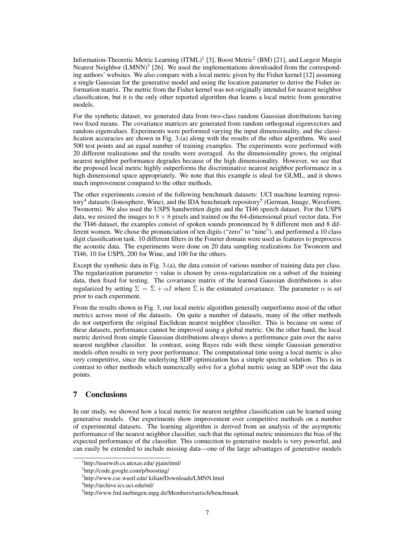Information-Theoretic Metric Learning (ITML)<sup>1</sup> [3], Boost Metric<sup>2</sup> (BM) [21], and Largest Margin Nearest Neighbor  $(LMNN)^3$  [26]. We used the implementations downloaded from the corresponding authors' websites. We also compare with a local metric given by the Fisher kernel [12] assuming a single Gaussian for the generative model and using the location parameter to derive the Fisher information matrix. The metric from the Fisher kernel was not originally intended for nearest neighbor classification, but it is the only other reported algorithm that learns a local metric from generative models.

For the synthetic dataset, we generated data from two-class random Gaussian distributions having two fixed means. The covariance matrices are generated from random orthogonal eigenvectors and random eigenvalues. Experiments were performed varying the input dimensionality, and the classification accuracies are shown in Fig. 3.(a) along with the results of the other algorithms. We used 500 test points and an equal number of training examples. The experiments were performed with 20 different realizations and the results were averaged. As the dimensionality grows, the original nearest neighbor performance degrades because of the high dimensionality. However, we see that the proposed local metric highly outperforms the discriminative nearest neighbor performance in a high dimensional space appropriately. We note that this example is ideal for GLML, and it shows much improvement compared to the other methods.

The other experiments consist of the following benchmark datasets: UCI machine learning repository<sup>4</sup> datasets (Ionosphere, Wine), and the IDA benchmark repository<sup>5</sup> (German, Image, Waveform, Twonorm). We also used the USPS handwritten digits and the TI46 speech dataset. For the USPS data, we resized the images to  $8 \times 8$  pixels and trained on the 64-dimensional pixel vector data. For the TI46 dataset, the examples consist of spoken sounds pronounced by 8 different men and 8 different women. We chose the pronunciation of ten digits ("zero" to "nine"), and performed a 10 class digit classification task. 10 different filters in the Fourier domain were used as features to preprocess the acoustic data. The experiments were done on 20 data sampling realizations for Twonorm and TI46, 10 for USPS, 200 for Wine, and 100 for the others.

Except the synthetic data in Fig. 3.(a), the data consist of various number of training data per class. The regularization parameter  $\gamma$  value is chosen by cross-regularization on a subset of the training data, then fixed for testing. The covariance matrix of the learned Gaussian distributions is also regularized by setting  $\Sigma = \hat{\Sigma} + \alpha I$  where  $\hat{\Sigma}$  is the estimated covariance. The parameter  $\alpha$  is set prior to each experiment.

From the results shown in Fig. 3, our local metric algorithm generally outperforms most of the other metrics across most of the datasets. On quite a number of datasets, many of the other methods do not outperform the original Euclidean nearest neighbor classifier. This is because on some of these datasets, performance cannot be improved using a global metric. On the other hand, the local metric derived from simple Gaussian distributions always shows a performance gain over the naive nearest neighbor classifier. In contrast, using Bayes rule with these simple Gaussian generative models often results in very poor performance. The computational time using a local metric is also very competitive, since the underlying SDP optimization has a simple spectral solution. This is in contrast to other methods which numerically solve for a global metric using an SDP over the data points.

# 7 Conclusions

In our study, we showed how a local metric for nearest neighbor classification can be learned using generative models. Our experiments show improvement over competitive methods on a number of experimental datasets. The learning algorithm is derived from an analysis of the asymptotic performance of the nearest neighbor classifier, such that the optimal metric minimizes the bias of the expected performance of the classifier. This connection to generative models is very powerful, and can easily be extended to include missing data—one of the large advantages of generative models

<sup>1</sup> http://userweb.cs.utexas.edu/ pjain/itml/

<sup>2</sup> http://code.google.com/p/boosting/

<sup>3</sup> http://www.cse.wustl.edu/ kilian/Downloads/LMNN.html

<sup>4</sup> http://archive.ics.uci.edu/ml/

<sup>5</sup> http://www.fml.tuebingen.mpg.de/Members/raetsch/benchmark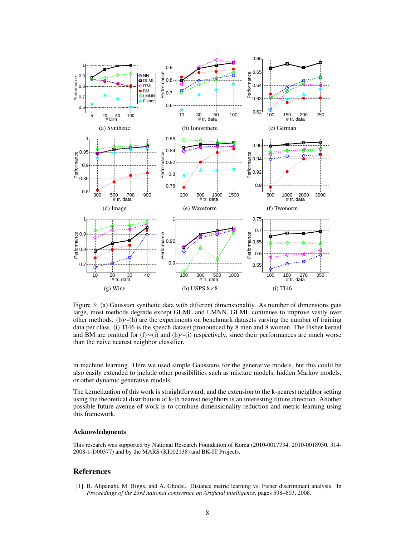

Figure 3: (a) Gaussian synthetic data with different dimensionality. As number of dimensions gets large, most methods degrade except GLML and LMNN. GLML continues to improve vastly over other methods. (b)∼(h) are the experiments on benchmark datasets varying the number of training data per class. (i) TI46 is the speech dataset pronounced by 8 men and 8 women. The Fisher kernel and BM are omitted for (f)∼(i) and (h)∼(i) respectively, since their performances are much worse than the naive nearest neighbor classifier.

in machine learning. Here we used simple Gaussians for the generative models, but this could be also easily extended to include other possibilities such as mixture models, hidden Markov models, or other dynamic generative models.

The kernelization of this work is straightforward, and the extension to the k-nearest neighbor setting using the theoretical distribution of k-th nearest neighbors is an interesting future direction. Another possible future avenue of work is to combine dimensionality reduction and metric learning using this framework.

#### Acknowledgments

This research was supported by National Research Foundation of Korea (2010-0017734, 2010-0018950, 314- 2008-1-D00377) and by the MARS (KI002138) and BK-IT Projects.

# References

[1] B. Alipanahi, M. Biggs, and A. Ghodsi. Distance metric learning vs. Fisher discriminant analysis. In *Proceedings of the 23rd national conference on Artificial intelligence*, pages 598–603, 2008.